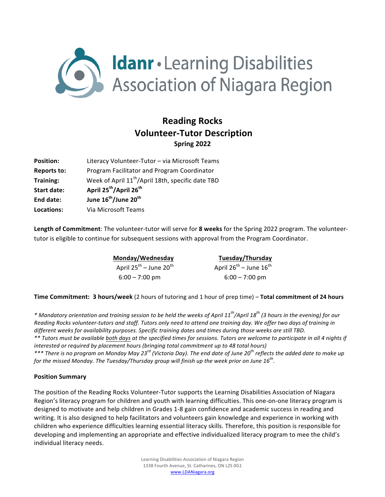

# **Reading Rocks Volunteer-Tutor Description Spring 2022**

| <b>Position:</b>   | Literacy Volunteer-Tutor - via Microsoft Teams                |
|--------------------|---------------------------------------------------------------|
| <b>Reports to:</b> | Program Facilitator and Program Coordinator                   |
| Training:          | Week of April 11 <sup>th</sup> /April 18th, specific date TBD |
| <b>Start date:</b> | April 25 <sup>th</sup> /April 26 <sup>th</sup>                |
| End date:          | June 16 <sup>th</sup> /June 20 <sup>th</sup>                  |
| Locations:         | Via Microsoft Teams                                           |

Length of Commitment: The volunteer-tutor will serve for 8 weeks for the Spring 2022 program. The volunteertutor is eligible to continue for subsequent sessions with approval from the Program Coordinator.

> **Monday/Wednesday Tuesday/Thursday** April  $25^{th}$  – June  $20^{th}$   $\qquad \qquad$  April  $26^{th}$  – June  $16^{th}$  $6:00 - 7:00 \text{ pm}$  6:00 – 7:00 pm

**Time Commitment: 3 hours/week** (2 hours of tutoring and 1 hour of prep time) – Total commitment of 24 hours

*\* Mandatory orientation and training session to be held the weeks of April 11th/April 18th (3 hours in the evening) for our*  Reading Rocks volunteer-tutors and staff. Tutors only need to attend one training day. We offer two days of training in *different weeks for availability purposes. Specific training dates and times during those weeks are still TBD.* \*\* Tutors must be available both days at the specified times for sessions. Tutors are welcome to participate in all 4 nights if *interested or required by placement hours (bringing total commitment up to 48 total hours) \*\*\* There is no program on Monday May 23rd (Victoria Day). The end date of June 20th reflects the added date to make up*  for the missed Monday. The Tuesday/Thursday group will finish up the week prior on June 16<sup>th</sup>.

## **Position Summary**

The position of the Reading Rocks Volunteer-Tutor supports the Learning Disabilities Association of Niagara Region's literacy program for children and youth with learning difficulties. This one-on-one literacy program is designed to motivate and help children in Grades 1-8 gain confidence and academic success in reading and writing. It is also designed to help facilitators and volunteers gain knowledge and experience in working with children who experience difficulties learning essential literacy skills. Therefore, this position is responsible for developing and implementing an appropriate and effective individualized literacy program to mee the child's individual literacy needs.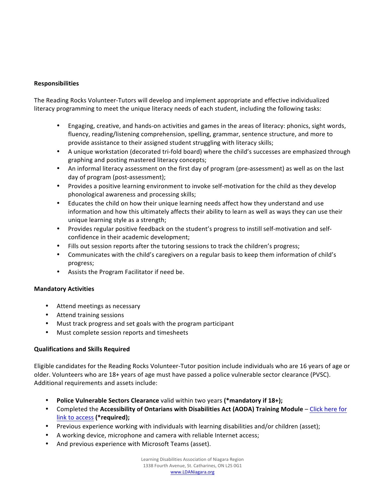## **Responsibilities**

The Reading Rocks Volunteer-Tutors will develop and implement appropriate and effective individualized literacy programming to meet the unique literacy needs of each student, including the following tasks:

- Engaging, creative, and hands-on activities and games in the areas of literacy: phonics, sight words, fluency, reading/listening comprehension, spelling, grammar, sentence structure, and more to provide assistance to their assigned student struggling with literacy skills;
- A unique workstation (decorated tri-fold board) where the child's successes are emphasized through graphing and posting mastered literacy concepts;
- An informal literacy assessment on the first day of program (pre-assessment) as well as on the last day of program (post-assessment);
- Provides a positive learning environment to invoke self-motivation for the child as they develop phonological awareness and processing skills;
- Educates the child on how their unique learning needs affect how they understand and use information and how this ultimately affects their ability to learn as well as ways they can use their unique learning style as a strength;
- Provides regular positive feedback on the student's progress to instill self-motivation and selfconfidence in their academic development;
- Fills out session reports after the tutoring sessions to track the children's progress;
- Communicates with the child's caregivers on a regular basis to keep them information of child's progress;
- Assists the Program Facilitator if need be.

## **Mandatory Activities**

- Attend meetings as necessary
- Attend training sessions
- Must track progress and set goals with the program participant
- Must complete session reports and timesheets

## **Qualifications and Skills Required**

Eligible candidates for the Reading Rocks Volunteer-Tutor position include individuals who are 16 years of age or older. Volunteers who are 18+ years of age must have passed a police vulnerable sector clearance (PVSC). Additional requirements and assets include:

- **Police Vulnerable Sectors Clearance** valid within two years (\*mandatory if 18+);
- Completed the Accessibility of Ontarians with Disabilities Act (AODA) Training Module Click here for link to access (\*required);
- Previous experience working with individuals with learning disabilities and/or children (asset);
- A working device, microphone and camera with reliable Internet access;
- And previous experience with Microsoft Teams (asset).